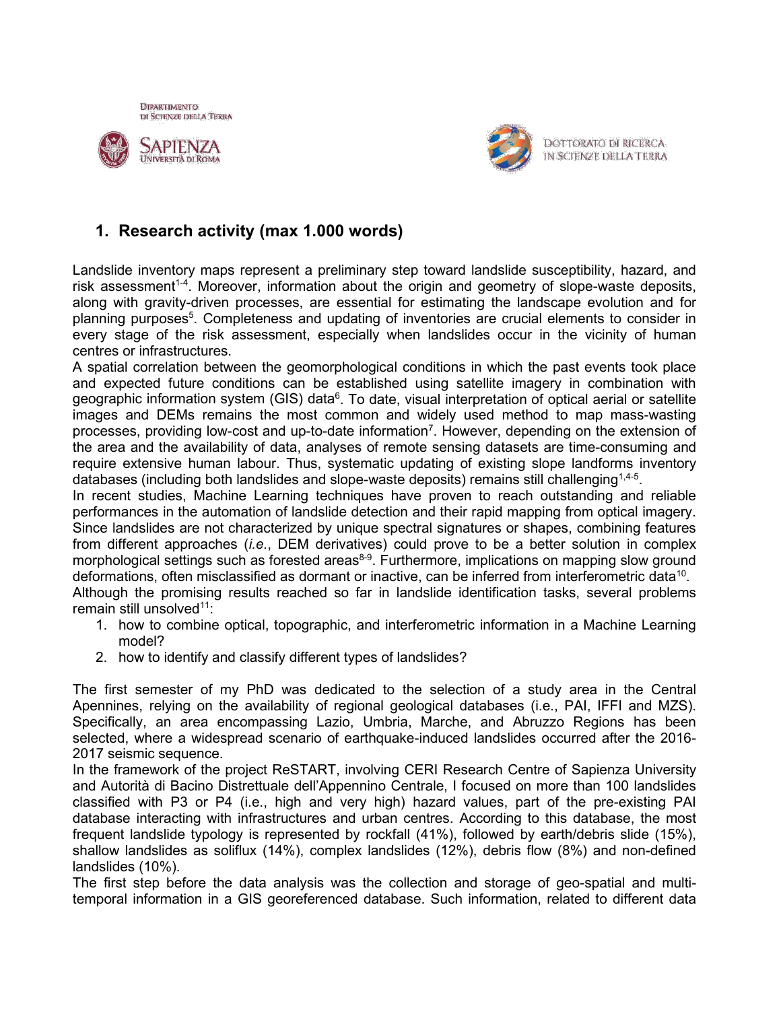





DOTTORATO DI RICERCA IN SCIENZE DELLA TERRA

# **1. Research activity (max 1.000 words)**

Landslide inventory maps represent a preliminary step toward landslide susceptibility, hazard, and risk assessment<sup>1-4</sup>. Moreover, information about the origin and geometry of slope-waste deposits, along with gravity-driven processes, are essential for estimating the landscape evolution and for planning purposes<sup>5</sup>. Completeness and updating of inventories are crucial elements to consider in every stage of the risk assessment, especially when landslides occur in the vicinity of human centres or infrastructures.

A spatial correlation between the geomorphological conditions in which the past events took place and expected future conditions can be established using satellite imagery in combination with geographic information system (GIS) data $^6$ . To date, visual interpretation of optical aerial or satellite images and DEMs remains the most common and widely used method to map mass-wasting processes, providing low-cost and up-to-date information<sup>7</sup>. However, depending on the extension of the area and the availability of data, analyses of remote sensing datasets are time-consuming and require extensive human labour. Thus, systematic updating of existing slope landforms inventory databases (including both landslides and slope-waste deposits) remains still challenging $^{\rm 1,4\text{-}5}.$ 

In recent studies, Machine Learning techniques have proven to reach outstanding and reliable performances in the automation of landslide detection and their rapid mapping from optical imagery. Since landslides are not characterized by unique spectral signatures or shapes, combining features from different approaches (*i.e.*, DEM derivatives) could prove to be a better solution in complex morphological settings such as forested areas<sup>8-9</sup>. Furthermore, implications on mapping slow ground deformations, often misclassified as dormant or inactive, can be inferred from interferometric data<sup>10</sup>.

Although the promising results reached so far in landslide identification tasks, several problems remain still unsolved<sup>11</sup>:

- 1. how to combine optical, topographic, and interferometric information in a Machine Learning model?
- 2. how to identify and classify different types of landslides?

The first semester of my PhD was dedicated to the selection of a study area in the Central Apennines, relying on the availability of regional geological databases (i.e., PAI, IFFI and MZS). Specifically, an area encompassing Lazio, Umbria, Marche, and Abruzzo Regions has been selected, where a widespread scenario of earthquake-induced landslides occurred after the 2016- 2017 seismic sequence.

In the framework of the project ReSTART, involving CERI Research Centre of Sapienza University and Autorità di Bacino Distrettuale dell'Appennino Centrale, I focused on more than 100 landslides classified with P3 or P4 (i.e., high and very high) hazard values, part of the pre-existing PAI database interacting with infrastructures and urban centres. According to this database, the most frequent landslide typology is represented by rockfall (41%), followed by earth/debris slide (15%), shallow landslides as soliflux (14%), complex landslides (12%), debris flow (8%) and non-defined landslides (10%).

The first step before the data analysis was the collection and storage of geo-spatial and multitemporal information in a GIS georeferenced database. Such information, related to different data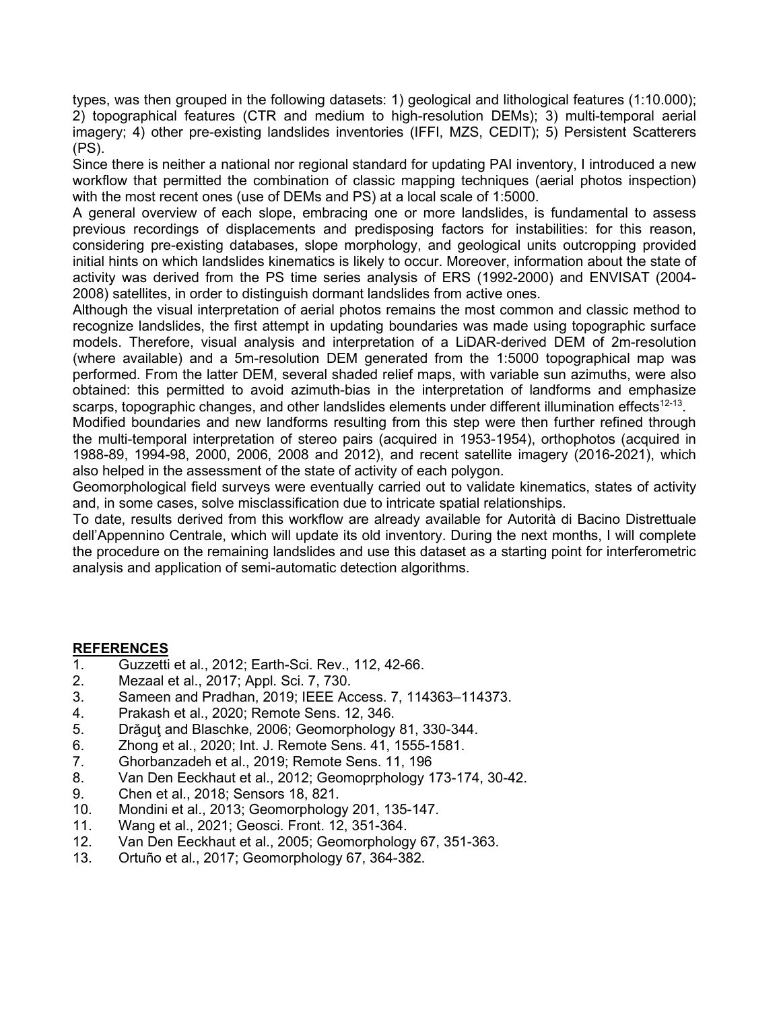types, was then grouped in the following datasets: 1) geological and lithological features (1:10.000); 2) topographical features (CTR and medium to high-resolution DEMs); 3) multi-temporal aerial imagery; 4) other pre-existing landslides inventories (IFFI, MZS, CEDIT); 5) Persistent Scatterers (PS).

Since there is neither a national nor regional standard for updating PAI inventory, I introduced a new workflow that permitted the combination of classic mapping techniques (aerial photos inspection) with the most recent ones (use of DEMs and PS) at a local scale of 1:5000.

A general overview of each slope, embracing one or more landslides, is fundamental to assess previous recordings of displacements and predisposing factors for instabilities: for this reason, considering pre-existing databases, slope morphology, and geological units outcropping provided initial hints on which landslides kinematics is likely to occur. Moreover, information about the state of activity was derived from the PS time series analysis of ERS (1992-2000) and ENVISAT (2004- 2008) satellites, in order to distinguish dormant landslides from active ones.

Although the visual interpretation of aerial photos remains the most common and classic method to recognize landslides, the first attempt in updating boundaries was made using topographic surface models. Therefore, visual analysis and interpretation of a LiDAR-derived DEM of 2m-resolution (where available) and a 5m-resolution DEM generated from the 1:5000 topographical map was performed. From the latter DEM, several shaded relief maps, with variable sun azimuths, were also obtained: this permitted to avoid azimuth-bias in the interpretation of landforms and emphasize scarps, topographic changes, and other landslides elements under different illumination effects $^{12\textrm{-}13}$ .

Modified boundaries and new landforms resulting from this step were then further refined through the multi-temporal interpretation of stereo pairs (acquired in 1953-1954), orthophotos (acquired in 1988-89, 1994-98, 2000, 2006, 2008 and 2012), and recent satellite imagery (2016-2021), which also helped in the assessment of the state of activity of each polygon.

Geomorphological field surveys were eventually carried out to validate kinematics, states of activity and, in some cases, solve misclassification due to intricate spatial relationships.

To date, results derived from this workflow are already available for Autorità di Bacino Distrettuale dell'Appennino Centrale, which will update its old inventory. During the next months, I will complete the procedure on the remaining landslides and use this dataset as a starting point for interferometric analysis and application of semi-automatic detection algorithms.

#### **REFERENCES**

- 1. Guzzetti et al., 2012; Earth-Sci. Rev., 112, 42-66.
- 2. Mezaal et al., 2017; Appl. Sci. 7, 730.
- 3. Sameen and Pradhan, 2019; IEEE Access. 7, 114363–114373.
- 4. Prakash et al., 2020; Remote Sens. 12, 346.
- 5. Drăguţ and Blaschke, 2006; Geomorphology 81, 330-344.
- 6. Zhong et al., 2020; Int. J. Remote Sens. 41, 1555-1581.
- 7. Ghorbanzadeh et al., 2019; Remote Sens. 11, 196
- 8. Van Den Eeckhaut et al., 2012; Geomoprphology 173-174, 30-42.
- 9. Chen et al., 2018; Sensors 18, 821.
- 10. Mondini et al., 2013; Geomorphology 201, 135-147.
- 11. Wang et al., 2021; Geosci. Front. 12, 351-364.
- 12. Van Den Eeckhaut et al., 2005; Geomorphology 67, 351-363.
- 13. Ortuño et al., 2017; Geomorphology 67, 364-382.